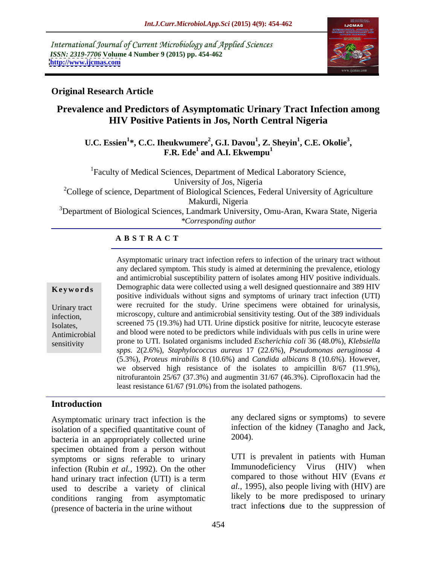International Journal of Current Microbiology and Applied Sciences *ISSN: 2319-7706* **Volume 4 Number 9 (2015) pp. 454-462 <http://www.ijcmas.com>**



# **Original Research Article**

# **Prevalence and Predictors of Asymptomatic Urinary Tract Infection among HIV Positive Patients in Jos, North Central Nigeria**

#### U.C. Essien<sup>1</sup>\*, C.C. Iheukwumere<sup>2</sup>, G.I. Davou<sup>1</sup>, Z. Sheyin<sup>1</sup>, C.E. Okolie<sup>3</sup>,<br>F.R. Ede<sup>1</sup> and A.I. Ekwempu<sup>1</sup> **, C.E. Okolie<sup>3</sup> and A.I. Ekwempu<sup>1</sup>**

<sup>1</sup>Faculty of Medical Sciences, Department of Medical Laboratory Science, University of Jos, Nigeria

<sup>2</sup>College of science, Department of Biological Sciences, Federal University of Agriculture Makurdi, Nigeria

<sup>3</sup>Department of Biological Sciences, Landmark University, Omu-Aran, Kwara State, Nigeria *\*Corresponding author*

### **A B S T R A C T**

sensitivity

Asymptomatic urinary tract infection refers to infection of the urinary tract without any declared symptom. This study is aimed at determining the prevalence, etiology and antimicrobial susceptibility pattern of isolates among HIV positive individuals. **Keywords** Demographic data were collected using a well designed questionnaire and 389 HIV positive individuals without signs and symptoms of urinary tract infection (UTI) Urinary tract were recruited for the study. Urine specimens were obtained for urinalysis, infection, microscopy, culture and antimicrobial sensitivity testing. Out of the 389 individuals screened 75 (19.3%) had UTI. Urine dipstick positive for nitrite, leucocyte esterase Isolates, Antimicrobial and blood were noted to be predictors while individuals with pus cells in urine were prone to UTI. Isolated organisms included *Escherichia coli* 36 (48.0%), *Klebsiella spps.* 2(2.6%), *Staphylococcus aureus* 17 (22.6%), *Pseudomonas aeruginosa* 4 (5.3%), *Proteus mirabilis* 8 (10.6%) and *Candida albicans* 8 (10.6%). However, we observed high resistance of the isolates to ampicillin 8/67 (11.9%), nitrofurantoin 25/67 (37.3%) and augmentin 31/67 (46.3%). Ciprofloxacin had the least resistance 61/67 (91.0%) from the isolated pathogens.

## **Introduction**

Asymptomatic urinary tract infection is the isolation of a specified quantitative count of the intection<br>hacteria in an appropriately collected urine  $2004$ . bacteria in an appropriately collected urine specimen obtained from a person without symptoms or signs referable to urinary infection (Rubin *et al.,* 1992). On the other hand urinary tract infection (UTI) is a term used to describe a variety of clinical conditions ranging from asymptomatic (presence of bacteria in the urine without

any declared signs or symptoms) to severe infection of the kidney (Tanagho and Jack, 2004).

UTI is prevalent in patients with Human Immunodeficiency Virus (HIV) when compared to those without HIV (Evans *et al.,* 1995), also people living with (HIV) are likely to be more predisposed to urinary tract infection**s** due to the suppression of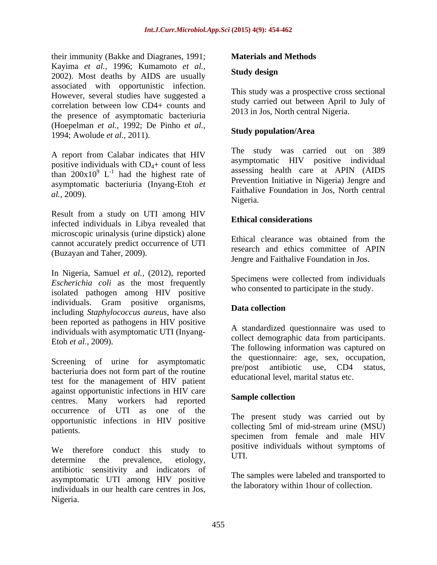their immunity (Bakke and Diagranes, 1991; Kayima *et al.,* 1996; Kumamoto *et al.,* 2002). Most deaths by AIDS are usually associated with opportunistic infection. However, several studies have suggested a correlation between low CD4+ counts and the presence of asymptomatic bacteriuria (Hoepelman *et al.,* 1992; De Pinho *et al.,* 1994; Awolude *et al.,* 2011).

A report from Calabar indicates that HIV positive individuals with  $CD<sub>4</sub>$ + count of less asymptomatic bacteriuria (Inyang-Etoh *et* 

Result from a study on UTI among HIV infected individuals in Libya revealed that microscopic urinalysis (urine dipstick) alone<br>Ethical clearance was obtained from the cannot accurately predict occurrence of UTI (Buzayan and Taher, 2009).

In Nigeria, Samuel *et al.,* (2012), reported *Escherichia coli* as the most frequently isolated pathogen among HIV positive individuals. Gram positive organisms,<br>including  $S(\cdot, t, t)$ including *Staphylococcus aureus*, have also been reported as pathogens in HIV positive individuals with asymptomatic UTI (Inyang-

Screening of urine for asymptomatic the questionnaire age, sex, occupation, bacteriuria does not form part of the routine test for the management of HIV patient against opportunistic infections in HIV care centres. Many workers had reported occurrence of UTI as one of the opportunistic infections in HIV positive patients.

We therefore conduct this study to  $\frac{1}{N}$  from the matricular without symptoms of determine the prevalence, etiology,  $\mathbf{C}$  and  $\mathbf{C}$ antibiotic sensitivity and indicators of asymptomatic UTI among HIV positive individuals in our health care centres in Jos, Nigeria.

### **Materials and Methods**

#### **Study design**

This study was a prospective cross sectional study carried out between April to July of 2013 in Jos, North central Nigeria.

### **Study population/Area**

than  $200x10^9$  L<sup>-1</sup> had the highest rate of assessing health care at APIN (AIDS  $\frac{1}{2}$  heal the highest rate of assessing health care at APIN (AIDS) had the highest rate of  $\frac{assessing}{g}$  in the calc at AFIN (AIDS) *al.,* 2009). Faithalive Foundation in Jos, North central The study was carried out on 389 asymptomatic HIV positive individual Prevention Initiative in Nigeria) Jengre and Nigeria.

#### **Ethical considerations**

Ethical clearance was obtained from the research and ethics committee of APIN Jengre and Faithalive Foundation in Jos.

Specimens were collected from individuals who consented to participate in the study.

### **Data collection**

Etoh *et al.*, 2009). Concert demographic data from participants. A standardized questionnaire was used to collect demographic data from participants. The following information was captured on the questionnaire: age, sex, occupation, pre/post antibiotic use, CD4 educational level, marital status etc.

#### **Sample collection**

The present study was carried out by collecting 5ml of mid-stream urine (MSU) specimen from female and male HIV positive individuals without symptoms of UTI.

The samples were labeled and transported to the laboratory within 1hour of collection.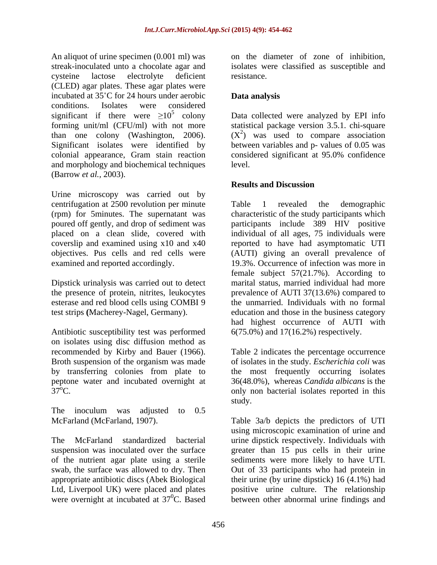An aliquot of urine specimen (0.001 ml) was streak-inoculated unto a chocolate agar and isolates were classified as susceptible and cysteine lactose electrolyte deficient (CLED) agar plates. These agar plates were incubated at  $35^{\circ}$ C for 24 hours under aerobic **Data analysis** conditions. Isolates were considered significant if there were  $\geq 10^5$  colony Data collected were analyzed by EPI info forming unit/ml (CFU/ml) with not more statistical package version 3.5.1. chi-square than one colony (Washington, 2006). Significant isolates were identified by between variables and p- values of 0.05 was colonial appearance, Gram stain reaction considered significant at 95.0% confidence and morphology and biochemical techniques (Barrow *et al.,* 2003).

Urine microscopy was carried out by centrifugation at 2500 revolution per minute Table 1 revealed the demographic

the presence of protein, nitrites, leukocytes esterase and red blood cells using COMBI 9

on isolates using disc diffusion method as recommended by Kirby and Bauer (1966). Broth suspension of the organism was made<br>by transferring colonies from plate to by transferring colonies from plate to the most frequently occurring isolates peptone water and incubated overnight at 36(48.0%), whereas *Candida albicans* is the

The inoculum was adjusted to 0.5

on the diameter of zone of inhibition, resistance.

# **Data analysis**

 $(X^2)$  was used to compare association level.

# **Results and Discussion**

(rpm) for 5minutes. The supernatant was characteristic of the study participants which poured off gently, and drop of sediment was participants include 389 HIV positive placed on a clean slide, covered with individual of all ages, 75 individuals were coverslip and examined using x10 and x40 reported to have had asymptomatic UTI objectives. Pus cells and red cells were (AUTI) giving an overall prevalence of examined and reported accordingly. 19.3%. Occurrence of infection was more in Dipstick urinalysis was carried out to detect marital status, married individual had more test strips (Macherey-Nagel, Germany). <br>
Antibiotic susceptibility test was performed  $6(75.0%)$  and  $17(16.2%)$  respectively. Table 1 revealed the demographic female subject 57(21.7%). According to prevalence of AUTI 37(13.6%) compared to the unmarried. Individuals with no formal education and those in the business category had highest occurrence of AUTI with 6(75.0%) and 17(16.2%) respectively.

 $37<sup>o</sup>C$ . Only non bacterial isolates reported in this Table 2 indicates the percentage occurrence of isolates in the study. *Escherichia coli* was study.

McFarland (McFarland, 1907). Table 3a/b depicts the predictors of UTI The McFarland standardized bacterial urine dipstick respectively. Individuals with suspension was inoculated over the surface greater than 15 pus cells in their urine of the nutrient agar plate using a sterile sediments were more likely to have UTI. swab, the surface was allowed to dry. Then Out of 33 participants who had protein in appropriate antibiotic discs (Abek Biological their urine (by urine dipstick) 16 (4.1%) had Ltd, Liverpool UK) were placed and plates positive urine culture. The relationship were overnight at incubated at 37<sup>0</sup>C. Based between other abnormal urine findings and using microscopic examination of urine and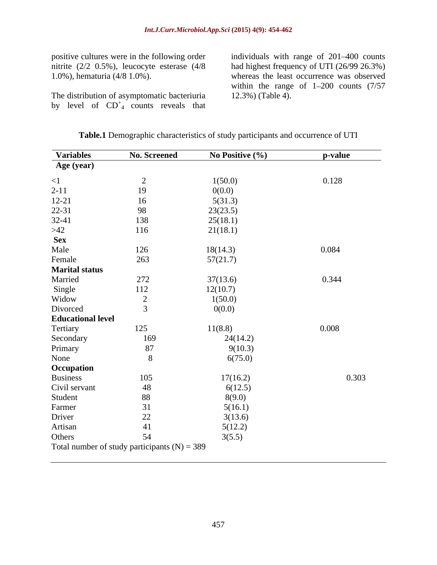The distribution of asymptomatic bacteriuria by level of  $CD<sup>+</sup><sub>4</sub>$  counts reveals that

positive cultures were in the following order individuals with range of 201–400 counts nitrite (2/2 0.5%), leucocyte esterase (4/8 had highest frequency ofUTI(26/99 26.3%) 1.0%), hematuria (4/8 1.0%). whereas the least occurrence was observed within the range of  $1-200$  counts  $(7/57)$ 12.3%) (Table 4).

| Age (year)<br>$\leq$ 1<br>$2 - 11$<br>$12 - 21$<br>$22 - 31$<br>$32 - 41$<br>$>42$<br><b>Sex</b><br>Male<br>Female<br><b>Marital status</b><br>Married<br>Single | 2<br>19<br>16  | 1(50.0)<br>0(0.0) | 0.128 |
|------------------------------------------------------------------------------------------------------------------------------------------------------------------|----------------|-------------------|-------|
|                                                                                                                                                                  |                |                   |       |
|                                                                                                                                                                  |                |                   |       |
|                                                                                                                                                                  |                |                   |       |
|                                                                                                                                                                  |                | 5(31.3)           |       |
|                                                                                                                                                                  | 98             | 23(23.5)          |       |
|                                                                                                                                                                  | 138            | 25(18.1)          |       |
|                                                                                                                                                                  | 116            | 21(18.1)          |       |
|                                                                                                                                                                  |                |                   |       |
|                                                                                                                                                                  | 126            | 18(14.3)          | 0.084 |
|                                                                                                                                                                  | 263            | 57(21.7)          |       |
|                                                                                                                                                                  |                |                   |       |
|                                                                                                                                                                  | 272            | 37(13.6)          | 0.344 |
|                                                                                                                                                                  | 112            | 12(10.7)          |       |
| Widow                                                                                                                                                            | $\overline{2}$ | 1(50.0)           |       |
| Divorced                                                                                                                                                         | $\overline{3}$ | 0(0.0)            |       |
| <b>Educational level</b>                                                                                                                                         |                |                   |       |
| Tertiary                                                                                                                                                         | 125            | 11(8.8)           | 0.008 |
| Secondary                                                                                                                                                        | 169            | 24(14.2)          |       |
| Primary                                                                                                                                                          | $87\,$         | 9(10.3)           |       |
| None                                                                                                                                                             | 8              | 6(75.0)           |       |
| Occupation                                                                                                                                                       |                |                   |       |
| <b>Business</b>                                                                                                                                                  | 105            | 17(16.2)          | 0.303 |
| Civil servant                                                                                                                                                    | 48             | 6(12.5)           |       |
| Student                                                                                                                                                          | 88             | 8(9.0)            |       |
| Farmer                                                                                                                                                           | 31             | 5(16.1)           |       |
| Driver                                                                                                                                                           | $22\,$         | 3(13.6)           |       |
| Artisan                                                                                                                                                          | 41             | 5(12.2)           |       |
| Others                                                                                                                                                           |                |                   |       |
| Total number of study participants $(N) = 389$                                                                                                                   | 54             | 3(5.5)            |       |

| <b>Table.1</b><br>Demograph<br>. characteristics $\circ^*$<br>$\sim$ $\sim$ $+$ $\sim$ $+$<br>$\sim$ ranhic $\sim$<br>charc | r study participants and occurrence of UTI |  |
|-----------------------------------------------------------------------------------------------------------------------------|--------------------------------------------|--|
|                                                                                                                             |                                            |  |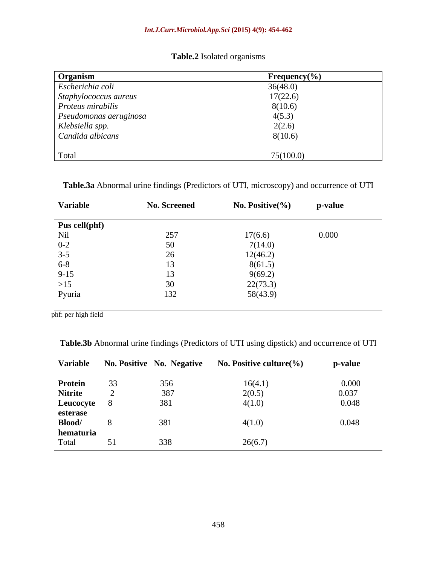**Table.2** Isolated organisms

| Organism               | Frequency $(\% )$ |
|------------------------|-------------------|
| Escherichia coli       | 36(48.0)          |
| Staphylococcus aureus  | 17(22.6)          |
| Proteus mirabilis      | 8(10.6)           |
| Pseudomonas aeruginosa | 4(5.3)            |
| Klebsiella spp.        | 2(2.6)            |
| Candida albicans       | 8(10.6)           |
|                        |                   |
| Total                  | 75(100.0)         |

**Table.3a** Abnormal urine findings (Predictors of UTI, microscopy) and occurrence of UTI

| Variable      | <b>No. Screened</b> | No. Positive $\left(\%\right)$ | p-value |
|---------------|---------------------|--------------------------------|---------|
| Pus cell(phf) |                     |                                |         |
| Nil           | 257                 | 17(6.6)                        | 0.000   |
| $0 - 2$       | 50                  | 7(14.0)                        |         |
| $3 - 5$       | 26                  | 12(46.2)                       |         |
| $6 - 8$       | 13                  | 8(61.5)                        |         |
| $9 - 15$      | 13                  | 9(69.2)                        |         |
| $>15$         | 30                  | 22(73.3)                       |         |
| Pyuria        | 132                 | 58(43.9)                       |         |

phf: per high field

**Table.3b** Abnormal urine findings (Predictors of UTI using dipstick) and occurrence of UTI

| <b>Variable</b>    |    | <b>No. Positive No. Negative</b> | No. Positive culture $(\% )$ | p-value                                                |
|--------------------|----|----------------------------------|------------------------------|--------------------------------------------------------|
| Protein            | 33 | 356                              | 16(4.1)                      | $\begin{array}{c} 0.000 \\ 0.037 \\ 0.048 \end{array}$ |
| <b>Nitrite</b>     |    | 387                              | 2(0.5)                       |                                                        |
| Leucocyte          |    | 381                              | 4(1.0)                       |                                                        |
|                    |    |                                  |                              |                                                        |
| esterase<br>Blood/ |    | 381                              | 4(1.0)                       | 0.048                                                  |
| hematuria          |    |                                  |                              |                                                        |
| Total              | 51 | 338                              | 26(6.7)                      |                                                        |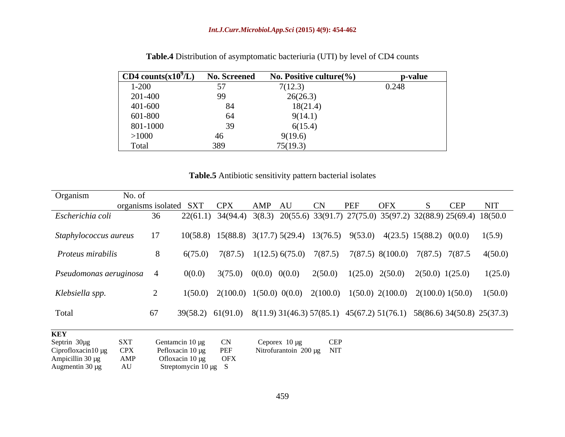| CD4 counts $(x109/L)$ | <b>No. Screened</b> | No. Positive culture $(\% )$ | p-value |
|-----------------------|---------------------|------------------------------|---------|
| $1 - 200$             | ັ≀                  | 7(12.3)                      | 0.248   |
| 201-400               | 99                  | 26(26.3)                     |         |
| 401-600               | 84                  | 18(21.4)                     |         |
| 601-800               | 64                  | 9(14.1)                      |         |
| 801-1000              | 39                  | 6(15.4)                      |         |
| >1000                 | 46                  | 9(19.6)                      |         |
| Total                 | 389                 | 75(19.3)                     |         |

**Table.4** Distribution of asymptomatic bacteriuria (UTI) by level of CD4 counts

**Table.5** Antibiotic sensitivity pattern bacterial isolates

| Organism                                                                 | No. of            |    |                                                                             |                                                                                                       |                                                          |     |     |            |                                                                                                        |
|--------------------------------------------------------------------------|-------------------|----|-----------------------------------------------------------------------------|-------------------------------------------------------------------------------------------------------|----------------------------------------------------------|-----|-----|------------|--------------------------------------------------------------------------------------------------------|
|                                                                          |                   |    | organisms isolated SXT CPX                                                  | AMP AU                                                                                                | CN                                                       | PEF | OFX | <b>CEP</b> | NIT                                                                                                    |
| Escherichia coli                                                         |                   | 36 |                                                                             | 22(61.1) 34(94.4) 3(8.3) 20(55.6) 33(91.7) 27(75.0) 35(97.2) 32(88.9) 25(69.4) 18(50.0                |                                                          |     |     |            |                                                                                                        |
| Staphylococcus aureus                                                    |                   | 17 |                                                                             | $10(58.8)$ $15(88.8)$ $3(17.7)$ $5(29.4)$ $13(76.5)$ $9(53.0)$ $4(23.5)$ $15(88.2)$ $0(0.0)$ $1(5.9)$ |                                                          |     |     |            |                                                                                                        |
| Proteus mirabilis                                                        |                   | 8  |                                                                             |                                                                                                       |                                                          |     |     |            | $6(75.0)$ $7(87.5)$ $1(12.5)$ $6(75.0)$ $7(87.5)$ $7(87.5)$ $8(100.0)$ $7(87.5)$ $7(87.5)$ $4(50.0)$   |
| Pseudomonas aeruginosa 4                                                 |                   |    | 0(0.0)                                                                      | $3(75.0)$ $0(0.0)$ $0(0.0)$ $2(50.0)$ $1(25.0)$ $2(50.0)$ $2(50.0)$ $1(25.0)$                         |                                                          |     |     |            | 1(25.0)                                                                                                |
| Klebsiella spp.                                                          |                   |    |                                                                             |                                                                                                       |                                                          |     |     |            | $1(50.0)$ $2(100.0)$ $1(50.0)$ $0(0.0)$ $2(100.0)$ $1(50.0)$ $2(100.0)$ $2(100.0)$ $1(50.0)$ $1(50.0)$ |
| Total                                                                    |                   | 67 |                                                                             |                                                                                                       |                                                          |     |     |            | 39(58.2) 61(91.0) 8(11.9) 31(46.3) 57(85.1) 45(67.2) 51(76.1) 58(86.6) 34(50.8) 25(37.3)               |
| <b>KEY</b><br>Septrin 30µg<br>Ciprofloxacin10 µg CPX<br>Ampicillin 30 µg | <b>SXT</b><br>AMP |    | Gentamcin $10 \mu g$ CN<br>Pefloxacin 10 µg PEF<br>Ofloxacin $10 \mu g$ OFX |                                                                                                       | Ceporex $10 \mu g$ CEP<br>Nitrofurantoin $200 \mu g$ NIT |     |     |            |                                                                                                        |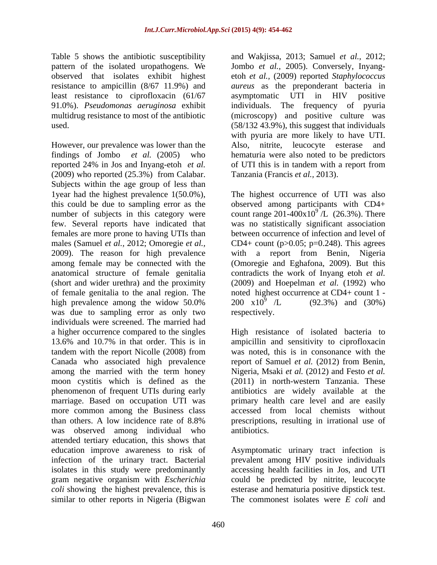least resistance to ciprofloxacin (61/67 asymptomatic UTI in HIV positive

However, our prevalence was lower than the Also, nitrite, leucocyte esterase and findings of Jombo *et al.* (2005) who hematuria were also noted to be predictors reported 24% in Jos and Inyang-etoh *et al.* (2009) who reported (25.3%) from Calabar. Subjects within the age group of less than 1year had the highest prevalence  $1(50.0\%)$ , this could be due to sampling error as the observed among participants with CD4+ number of subjects in this category were count range  $201-400x10^{9}$  /L (26.3%). There few. Several reports have indicated that was no statistically significant association females are more prone to having UTIs than between occurrence of infection and level of males (Samuel *et al.,* 2012; Omoregie *et al.,* CD4+ count (p>0.05; p=0.248). This agrees 2009). The reason for high prevalence with a report from Benin, Nigeria among female may be connected with the (Omoregie and Eghafona, 2009). But this anatomical structure of female genitalia contradicts the work of Inyang etoh *et al.* (short and wider urethra) and the proximity (2009) and Hoepelman *et al.* (1992) who of female genitalia to the anal region. The noted highest occurrence at CD4+ count 1 high prevalence among the widow 50.0%  $200 \times 10^{9}$  /L  $(92.3\%)$  and  $(30\%)$ was due to sampling error as only two respectively. individuals were screened. The married had phenomenon of frequent UTIs during early was observed among individual who antibiotics. attended tertiary education, this shows that education improve awareness to risk of Asymptomatic urinary tract infection is infection of the urinary tract. Bacterial prevalent among HIV positive individuals isolates in this study were predominantly gram negative organism with *Escherichia*  could be predicted by nitrite, leucocyte *coli* showing the highest prevalence, this is similar to other reports in Nigeria (Bigwan

Table 5 shows the antibiotic susceptibility and Wakjissa, 2013; Samuel *et al.,* 2012; pattern of the isolated uropathogens. We Jombo *et al.,* 2005). Conversely, Inyang observed that isolates exhibit highest etoh *et al.,* (2009) reported *Staphylococcus*  resistance to ampicillin (8/67 11.9%) and *aureus* as the preponderant bacteria in 91.0%). *Pseudomonas aeruginosa* exhibit individuals. The frequency of pyuria multidrug resistance to most of the antibiotic (microscopy) and positive culture was used. (58/132 43.9%), this suggest that individuals asymptomatic UTI in HIV positive with pyuria are more likely to have UTI. of UTI this is in tandem with a report from Tanzania (Francis *et al.,* 2013).

> The highest occurrence of UTI was also  $/L \; (26.3\%)$ . There 200 x10<sup>9</sup> /L (92.3%) and (30%)  $\frac{9}{1}$  (0.2.20%) and (2.00%)  $/L$  (92.3%) and (30%) respectively.

a higher occurrence compared to the singles High resistance of isolated bacteria to 13.6% and 10.7% in that order. This is in ampicillin and sensitivity to ciprofloxacin tandem with the report Nicolle (2008) from Canada who associated high prevalence report of Samuel *et al.* (2012) from Benin, among the married with the term honey Nigeria, Msaki *et al.* (2012) and Festo *et al.* moon cystitis which is defined as the (2011) in north-western Tanzania. These marriage. Based on occupation UTI was primary health care level and are easily more common among the Business class accessed from local chemists without than others. A low incidence rate of 8.8% prescriptions, resulting in irrational use of was noted, this is in consonance with the antibiotics are widely available at the antibiotics.

> accessing health facilities in Jos, and UTI esterase and hematuria positive dipstick test. The commonest isolates were *E coli* and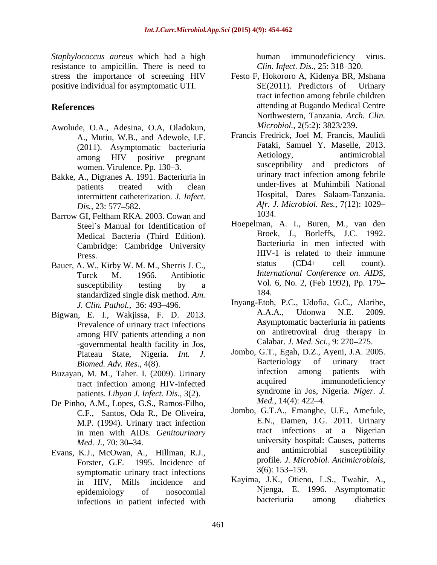*Staphylococcus aureus* which had a high resistance to ampicillin. There is need to positive individual for asymptomatic UTI.

- Awolude, O.A., Adesina, O.A, Oladokun, A., Mutiu, W.B., and Adewole, I.F. women. Virulence. Pp. 130–3.
- Bakke, A., Digranes A. 1991. Bacteriuria in intermittent catheterization. *J. Infect.*
- Barrow GI, Feltham RKA. 2003. Cowan and Steel's Manual for Identification of Medical Bacteria (Third Edition). Cambridge: Cambridge University
- standardized single disk method. *Am.*
- Prevalence of urinary tract infections among HIV patients attending a non -governmental health facility in Jos,
- Buzayan, M. M., Taher. I. (2009). Urinary antiection among patients with the tract infection among HIV infected acquired immunodeficiency tract infection among HIV-infected
- De Pinho, A.M., Lopes, G.S., Ramos-Filho, C.F., Santos, Oda R., De Oliveira, M.P. (1994). Urinary tract infection in men with AIDs. *Genitourinary*
- Forster, G.F. 1995. Incidence of profile. *J. Micr*<br>symptomatic urinary tract infections  $3(6)$ : 153–159. symptomatic urinary tract infections in HIV, Mills incidence and infections in patient infected with bacteriuria among diabetics

immunodeficiency virus. *Clin. Infect. Dis., 25: 318-320.* 

- stress the importance of screening HIV Festo F, Hokororo A, Kidenya BR, Mshana **References** attending at Bugando Medical Centre SE(2011). Predictors of Urinary tract infection among febrile children Northwestern, Tanzania. *Arch. Clin. Microbiol.,* 2(5:2): 3823/239.
	- (2011). Asymptomatic bacteriuria and Fataki, Samuel Y. Maselle, 2013.<br>among HIV positive pregnant and Aetiology, antimicrobial among HIV positive pregnant Aetiology, antimicrobial patients treated with clean **under-fives at Muhimbili National** *Dis.,* 23: 577–582. *Afr. J. Microbiol. Res.,*  $/(12)$ : 1029– Francis Fredrick, Joel M. Francis, Maulidi Fataki, Samuel Y. Maselle, 2013. Aetiology, antimicrobial susceptibility and predictors of urinary tract infection among febrile under-fives at Muhimbili National Hospital, Dares Salaam-Tanzania. *Afr. J. Microbiol. Res.,* 7(12): 1029 1034.
- Press. Bauer, A. W., Kirby W. M. M., Sherris J. C.,<br>
Turck M. 1966 Antibiotic *International Conference on. AIDS*, Turck M. 1966. Antibiotic *International Conference on AIDS*, susceptibility testing by a  $Vol. 6$ , No. 2, (Feb 1992), Pp.  $1/9-$ Hoepelman, A. I., Buren, M., van den Broek, J., Borleffs, J.C. 1992. Bacteriuria in men infected with status (CD4+ cell count). *International Conference on. AIDS*, Vol. 6, No. 2, (Feb 1992), Pp. <sup>179</sup> 184.
- *J. Clin. Pathol.,* 36: 493 496. Inyang-Etoh, P.C., Udofia, G.C., Alaribe, Bigwan, E. I., Wakjissa, F. D. 2013. A.A.A., Udonwa N.E. 2009. A.A.A., Udonwa N.E. 2009. Asymptomatic bacteriuria in patients on antiretroviral drug therapy in Calabar. *J. Med. Sci.*, 9: 270–275.
	- Plateau State, Nigeria. *Int. J.* Jombo, G.T., Egah, D.Z., Ayeni, J.A. 2005.<br>Biomed Adv Res. 4(8) Bacteriology of urinary tract *Biomed. Adv. Res.*, 4(8). **Bacteriology** of urinary tract<br> **p M M** Taber I (2009) Urinary **and indection** among patients with patients. *Libyan J. Infect. Dis.*, 3(2). syndrome in Jos, N<br>ho A M I opes G S Ramos-Filho *Med.*, 14(4): 422–4. Jombo, G.T., Egah, D.Z., Ayeni, J.A. 2005. Bacteriology of urinary tract infection among patients with acquired immunodeficiency syndrome in Jos, Nigeria. *Niger. J. Med.*, 14(4): 422–4.
- *Med. J.,* 70: 30–34. Evans, K.J., McOwan, A., Hillman, R.J., and antimicrobial susceptibility Jombo, G.T.A., Emanghe, U.E., Amefule, E.N., Damen, J.G. 2011. Urinary tract infections at a Nigerian university hospital: Causes, patterns and antimicrobial susceptibility profile. *J. Microbiol. Antimicrobials,*  $3(6)$ : 153–159.
	- epidemiology of nosocomial Njenga, E. 1996. Asymptomatic Kayima, J.K., Otieno, L.S., Twahir, A., bacteriuria among diabetics